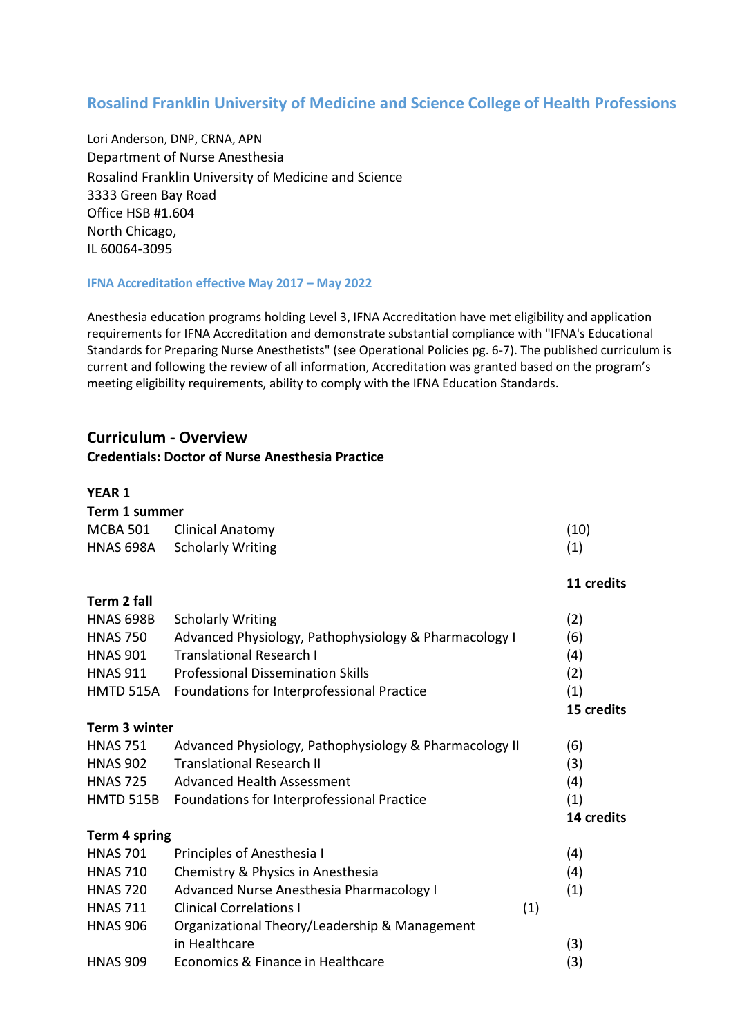# **Rosalind Franklin University of Medicine and Science College of Health Professions**

Lori Anderson, DNP, CRNA, APN Department of Nurse Anesthesia Rosalind Franklin University of Medicine and Science 3333 Green Bay Road Office HSB #1.604 North Chicago, IL 60064-3095

#### **IFNA Accreditation effective May 2017 – May 2022**

Anesthesia education programs holding Level 3, IFNA Accreditation have met eligibility and application requirements for IFNA Accreditation and demonstrate substantial compliance with "IFNA's Educational Standards for Preparing Nurse Anesthetists" (see Operational Policies pg. 6-7). The published curriculum is current and following the review of all information, Accreditation was granted based on the program's meeting eligibility requirements, ability to comply with the IFNA Education Standards.

**11 credits** 

## **Curriculum - Overview**

## **Credentials: Doctor of Nurse Anesthesia Practice**

#### **YEAR 1**

| Term 1 summer |                             |      |  |  |
|---------------|-----------------------------|------|--|--|
|               | MCBA 501 Clinical Anatomy   | (10) |  |  |
|               | HNAS 698A Scholarly Writing | (1)  |  |  |

#### **Term 2 fall**

| <b>HNAS 698B</b> | <b>Scholarly Writing</b>                               | (2)        |
|------------------|--------------------------------------------------------|------------|
| <b>HNAS 750</b>  | Advanced Physiology, Pathophysiology & Pharmacology I  | (6)        |
| <b>HNAS 901</b>  | <b>Translational Research I</b>                        | (4)        |
| <b>HNAS 911</b>  | <b>Professional Dissemination Skills</b>               | (2)        |
| HMTD 515A        | Foundations for Interprofessional Practice             | (1)        |
|                  |                                                        | 15 credits |
| Term 3 winter    |                                                        |            |
| <b>HNAS 751</b>  | Advanced Physiology, Pathophysiology & Pharmacology II | (6)        |
| <b>HNAS 902</b>  | <b>Translational Research II</b>                       | (3)        |
| <b>HNAS 725</b>  | Advanced Health Assessment                             | (4)        |
| <b>HMTD 515B</b> | Foundations for Interprofessional Practice             | (1)        |
|                  |                                                        | 14 credits |
| Term 4 spring    |                                                        |            |

| <b>HNAS 701</b> | Principles of Anesthesia I                    |     | (4) |
|-----------------|-----------------------------------------------|-----|-----|
| <b>HNAS 710</b> | Chemistry & Physics in Anesthesia             |     | (4) |
| <b>HNAS 720</b> | Advanced Nurse Anesthesia Pharmacology I      |     | (1) |
| <b>HNAS 711</b> | <b>Clinical Correlations I</b>                | (1) |     |
| <b>HNAS 906</b> | Organizational Theory/Leadership & Management |     |     |
|                 | in Healthcare                                 |     | (3) |
| <b>HNAS 909</b> | Economics & Finance in Healthcare             |     | (3) |
|                 |                                               |     |     |